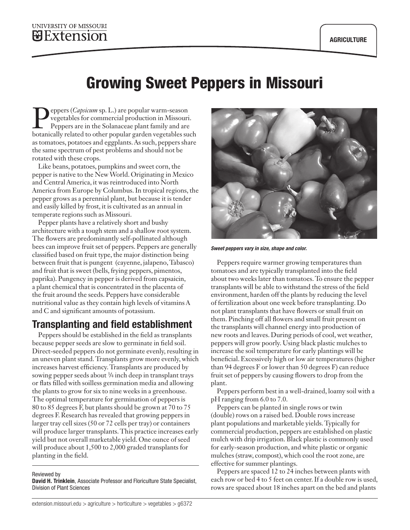# Growing Sweet Peppers in Missouri

Pepers (*Capsicum* sp. L.) are popular warm-season<br>
vegetables for commercial production in Missouri.<br>
Peppers are in the Solanaceae plant family and are<br>
botanically related to other popular garden vegetables suc vegetables for commercial production in Missouri. botanically related to other popular garden vegetables such as tomatoes, potatoes and eggplants. As such, peppers share the same spectrum of pest problems and should not be rotated with these crops.

Like beans, potatoes, pumpkins and sweet corn, the pepper is native to the New World. Originating in Mexico and Central America, it was reintroduced into North America from Europe by Columbus. In tropical regions, the pepper grows as a perennial plant, but because it is tender and easily killed by frost, it is cultivated as an annual in temperate regions such as Missouri.

Pepper plants have a relatively short and bushy architecture with a tough stem and a shallow root system. The flowers are predominantly self-pollinated although bees can improve fruit set of peppers. Peppers are generally classified based on fruit type, the major distinction being between fruit that is pungent (cayenne, jalapeno, Tabasco) and fruit that is sweet (bells, frying peppers, pimentos, paprika). Pungency in pepper is derived from capsaicin, a plant chemical that is concentrated in the placenta of the fruit around the seeds. Peppers have considerable nutritional value as they contain high levels of vitamins A and C and significant amounts of potassium.

## Transplanting and field establishment

Peppers should be established in the field as transplants because pepper seeds are slow to germinate in field soil. Direct-seeded peppers do not germinate evenly, resulting in an uneven plant stand. Transplants grow more evenly, which increases harvest efficiency. Transplants are produced by sowing pepper seeds about 3/4 inch deep in transplant trays or flats filled with soilless germination media and allowing the plants to grow for six to nine weeks in a greenhouse. The optimal temperature for germination of peppers is 80 to 85 degrees F, but plants should be grown at 70 to 75 degrees F. Research has revealed that growing peppers in larger tray cell sizes (50 or 72 cells per tray) or containers will produce larger transplants. This practice increases early yield but not overall marketable yield. One ounce of seed will produce about 1,500 to 2,000 graded transplants for planting in the field.

#### Reviewed by

David H. Trinklein, Associate Professor and Floriculture State Specialist, Division of Plant Sciences



*Sweet peppers vary in size, shape and color.*

Peppers require warmer growing temperatures than tomatoes and are typically transplanted into the field about two weeks later than tomatoes. To ensure the pepper transplants will be able to withstand the stress of the field environment, harden off the plants by reducing the level of fertilization about one week before transplanting. Do not plant transplants that have flowers or small fruit on them. Pinching off all flowers and small fruit present on the transplants will channel energy into production of new roots and leaves. During periods of cool, wet weather, peppers will grow poorly. Using black plastic mulches to increase the soil temperature for early plantings will be beneficial. Excessively high or low air temperatures (higher than 94 degrees F or lower than 50 degrees F) can reduce fruit set of peppers by causing flowers to drop from the plant.

Peppers perform best in a well-drained, loamy soil with a pH ranging from 6.0 to 7.0.

Peppers can be planted in single rows or twin (double) rows on a raised bed. Double rows increase plant populations and marketable yields. Typically for commercial production, peppers are established on plastic mulch with drip irrigation. Black plastic is commonly used for early-season production, and white plastic or organic mulches (straw, compost), which cool the root zone, are effective for summer plantings.

Peppers are spaced 12 to 24 inches between plants with each row or bed 4 to 5 feet on center. If a double row is used, rows are spaced about 18 inches apart on the bed and plants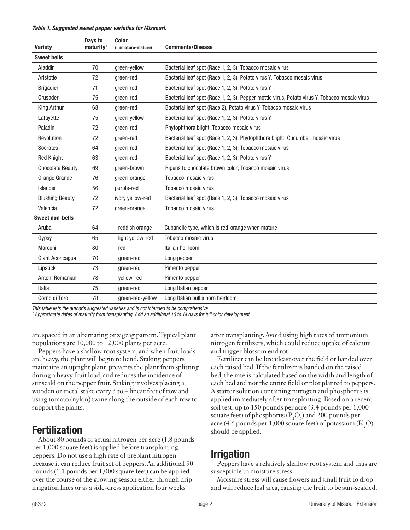#### *Table 1. Suggested sweet pepper varieties for Missouri.*

| <b>Variety</b>          | Days to<br>maturity <sup>1</sup> | Color<br>(immature-mature) | <b>Comments/Disease</b>                                                                       |
|-------------------------|----------------------------------|----------------------------|-----------------------------------------------------------------------------------------------|
| <b>Sweet bells</b>      |                                  |                            |                                                                                               |
| Aladdin                 | 70                               | green-yellow               | Bacterial leaf spot (Race 1, 2, 3), Tobacco mosaic virus                                      |
| Aristotle               | 72                               | green-red                  | Bacterial leaf spot (Race 1, 2, 3), Potato virus Y, Tobacco mosaic virus                      |
| <b>Brigadier</b>        | 71                               | green-red                  | Bacterial leaf spot (Race 1, 2, 3), Potato virus Y                                            |
| Crusader                | 75                               | green-red                  | Bacterial leaf spot (Race 1, 2, 3), Pepper mottle virus, Potato virus Y, Tobacco mosaic virus |
| King Arthur             | 68                               | green-red                  | Bacterial leaf spot (Race 2), Potato virus Y, Tobacco mosaic virus                            |
| Lafayette               | 75                               | green-yellow               | Bacterial leaf spot (Race 1, 2, 3), Potato virus Y                                            |
| Paladin                 | 72                               | green-red                  | Phytophthora blight, Tobacco mosaic virus                                                     |
| Revolution              | 72                               | green-red                  | Bacterial leaf spot (Race 1, 2, 3), Phytophthora blight, Cucumber mosaic virus                |
| Socrates                | 64                               | green-red                  | Bacterial leaf spot (Race 1, 2, 3), Tobacco mosaic virus                                      |
| <b>Red Knight</b>       | 63                               | green-red                  | Bacterial leaf spot (Race 1, 2, 3), Potato virus Y                                            |
| <b>Chocolate Beauty</b> | 69                               | green-brown                | Ripens to chocolate brown color; Tobacco mosaic virus                                         |
| Orange Grande           | 76                               | green-orange               | Tobacco mosaic virus                                                                          |
| Islander                | 56                               | purple-red                 | Tobacco mosaic virus                                                                          |
| <b>Blushing Beauty</b>  | 72                               | ivory yellow-red           | Bacterial leaf spot (Race 1, 2, 3), Tobacco mosaic virus                                      |
| Valencia                | 72                               | green-orange               | Tobacco mosaic virus                                                                          |
| <b>Sweet non-bells</b>  |                                  |                            |                                                                                               |
| Aruba                   | 64                               | reddish orange             | Cubanelle type, which is red-orange when mature                                               |
| Gypsy                   | 65                               | light yellow-red           | Tobacco mosaic virus                                                                          |
| Marconi                 | 80                               | red                        | Italian heirloom                                                                              |
| Giant Aconcagua         | 70                               | green-red                  | Long pepper                                                                                   |
| Lipstick                | 73                               | green-red                  | Pimento pepper                                                                                |
| Antohi Romanian         | 78                               | vellow-red                 | Pimento pepper                                                                                |
| Italia                  | 75                               | green-red                  | Long Italian pepper                                                                           |
| Corno di Toro           | 78                               | green-red-yellow           | Long Italian bull's horn heirloom                                                             |

*This table lists the author's suggested varieties and is not intended to be comprehensive.*

*<sup>1</sup> Approximate dates of maturity from transplanting. Add an additional 10 to 14 days for full color development.*

are spaced in an alternating or zigzag pattern. Typical plant populations are 10,000 to 12,000 plants per acre.

Peppers have a shallow root system, and when fruit loads are heavy, the plant will begin to bend. Staking peppers maintains an upright plant, prevents the plant from splitting during a heavy fruit load, and reduces the incidence of sunscald on the pepper fruit. Staking involves placing a wooden or metal stake every 3 to 4 linear feet of row and using tomato (nylon) twine along the outside of each row to support the plants.

#### Fertilization

About 80 pounds of actual nitrogen per acre (1.8 pounds per 1,000 square feet) is applied before transplanting peppers. Do not use a high rate of preplant nitrogen because it can reduce fruit set of peppers. An additional 50 pounds (1.1 pounds per 1,000 square feet) can be applied over the course of the growing season either through drip irrigation lines or as a side-dress application four weeks

after transplanting. Avoid using high rates of ammonium nitrogen fertilizers, which could reduce uptake of calcium and trigger blossom end rot.

Fertilizer can be broadcast over the field or banded over each raised bed. If the fertilizer is banded on the raised bed, the rate is calculated based on the width and length of each bed and not the entire field or plot planted to peppers. A starter solution containing nitrogen and phosphorus is applied immediately after transplanting. Based on a recent soil test, up to 150 pounds per acre (3.4 pounds per 1,000 square feet) of phosphorus ( $P_2O_5$ ) and 200 pounds per acre (4.6 pounds per 1,000 square feet) of potassium  $(K_2O)$ should be applied.

#### Irrigation

Peppers have a relatively shallow root system and thus are susceptible to moisture stress.

Moisture stress will cause flowers and small fruit to drop and will reduce leaf area, causing the fruit to be sun-scalded.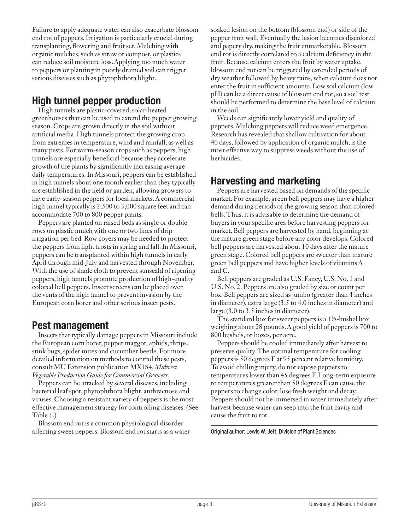Failure to apply adequate water can also exacerbate blossom end rot of peppers. Irrigation is particularly crucial during transplanting, flowering and fruit set. Mulching with organic mulches, such as straw or compost, or plastics can reduce soil moisture loss. Applying too much water to peppers or planting in poorly drained soil can trigger serious diseases such as phytophthora blight.

### High tunnel pepper production

High tunnels are plastic-covered, solar-heated greenhouses that can be used to extend the pepper growing season. Crops are grown directly in the soil without artificial media. High tunnels protect the growing crop from extremes in temperature, wind and rainfall, as well as many pests. For warm-season crops such as peppers, high tunnels are especially beneficial because they accelerate growth of the plants by significantly increasing average daily temperatures. In Missouri, peppers can be established in high tunnels about one month earlier than they typically are established in the field or garden, allowing growers to have early-season peppers for local markets. A commercial high tunnel typically is 2,500 to 3,000 square feet and can accommodate 700 to 800 pepper plants.

Peppers are planted on raised beds as single or double rows on plastic mulch with one or two lines of drip irrigation per bed. Row covers may be needed to protect the peppers from light frosts in spring and fall. In Missouri, peppers can be transplanted within high tunnels in early April through mid-July and harvested through November. With the use of shade cloth to prevent sunscald of ripening peppers, high tunnels promote production of high-quality colored bell peppers. Insect screens can be placed over the vents of the high tunnel to prevent invasion by the European corn borer and other serious insect pests.

#### Pest management

Insects that typically damage peppers in Missouri include the European corn borer, pepper maggot, aphids, thrips, stink bugs, spider mites and cucumber beetle. For more detailed information on methods to control these pests, consult MU Extension publication MX384, *Midwest Vegetable Production Guide for Commercial Growers*.

Peppers can be attacked by several diseases, including bacterial leaf spot, phytophthora blight, anthracnose and viruses. Choosing a resistant variety of peppers is the most effective management strategy for controlling diseases. (See Table 1.)

Blossom end rot is a common physiological disorder affecting sweet peppers. Blossom end rot starts as a watersoaked lesion on the bottom (blossom end) or side of the pepper fruit wall. Eventually the lesion becomes discolored and papery dry, making the fruit unmarketable. Blossom end rot is directly correlated to a calcium deficiency in the fruit. Because calcium enters the fruit by water uptake, blossom end rot can be triggered by extended periods of dry weather followed by heavy rains, when calcium does not enter the fruit in sufficient amounts. Low soil calcium (low pH) can be a direct cause of blossom end rot, so a soil test should be performed to determine the base level of calcium in the soil.

Weeds can significantly lower yield and quality of peppers. Mulching peppers will reduce weed emergence. Research has revealed that shallow cultivation for about 40 days, followed by application of organic mulch, is the most effective way to suppress weeds without the use of herbicides.

### Harvesting and marketing

Peppers are harvested based on demands of the specific market. For example, green bell peppers may have a higher demand during periods of the growing season than colored bells. Thus, it is advisable to determine the demand of buyers in your specific area before harvesting peppers for market. Bell peppers are harvested by hand, beginning at the mature green stage before any color develops. Colored bell peppers are harvested about 10 days after the mature green stage. Colored bell peppers are sweeter than mature green bell peppers and have higher levels of vitamins A and C.

Bell peppers are graded as U.S. Fancy, U.S. No. 1 and U.S. No. 2. Peppers are also graded by size or count per box. Bell peppers are sized as jumbo (greater than 4 inches in diameter), extra large (3.5 to 4.0 inches in diameter) and large (3.0 to 3.5 inches in diameter).

The standard box for sweet peppers is a  $1\frac{1}{2}$ -bushel box weighing about 28 pounds. A good yield of peppers is 700 to 800 bushels, or boxes, per acre.

Peppers should be cooled immediately after harvest to preserve quality. The optimal temperature for cooling peppers is 50 degrees F at 95 percent relative humidity. To avoid chilling injury, do not expose peppers to temperatures lower than 45 degrees F. Long-term exposure to temperatures greater than 50 degrees F can cause the peppers to change color, lose fresh weight and decay. Peppers should not be immersed in water immediately after harvest because water can seep into the fruit cavity and cause the fruit to rot.

Original author: Lewis W. Jett, Division of Plant Sciences